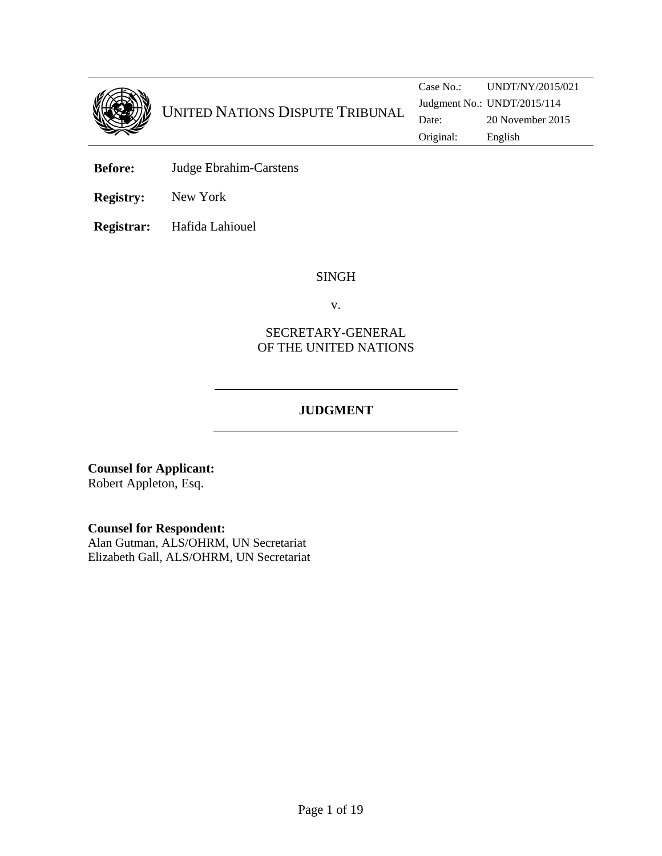

**Before:** Judge Ebrahim-Carstens

**Registry:** New York

**Registrar:** Hafida Lahiouel

#### SINGH

v.

# SECRETARY-GENERAL OF THE UNITED NATIONS

# **JUDGMENT**

**Counsel for Applicant:**  Robert Appleton, Esq.

**Counsel for Respondent:** 

Alan Gutman, ALS/OHRM, UN Secretariat Elizabeth Gall, ALS/OHRM, UN Secretariat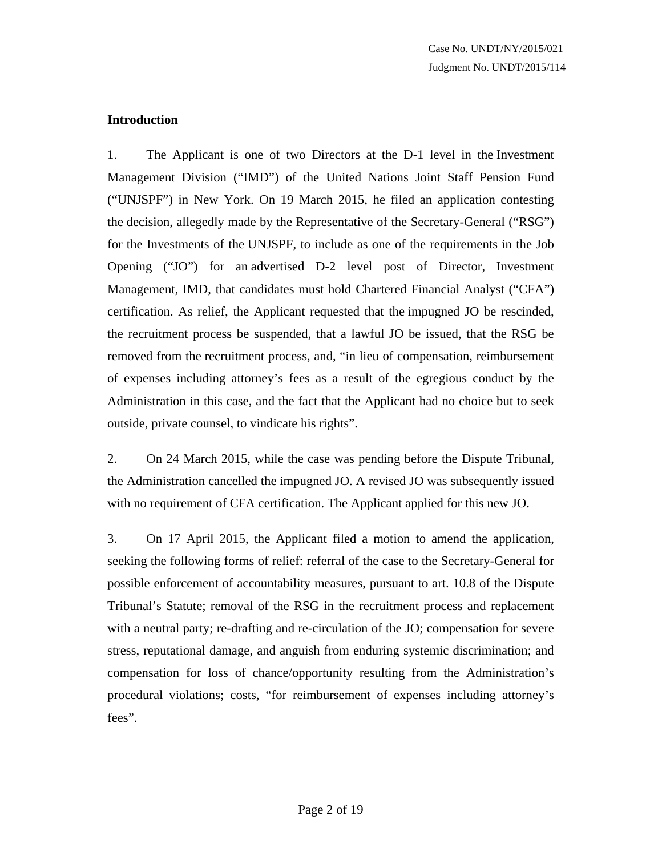# **Introduction**

1. The Applicant is one of two Directors at the D-1 level in the Investment Management Division ("IMD") of the United Nations Joint Staff Pension Fund ("UNJSPF") in New York. On 19 March 2015, he filed an application contesting the decision, allegedly made by the Representative of the Secretary-General ("RSG") for the Investments of the UNJSPF, to include as one of the requirements in the Job Opening ("JO") for an advertised D-2 level post of Director, Investment Management, IMD, that candidates must hold Chartered Financial Analyst ("CFA") certification. As relief, the Applicant requested that the impugned JO be rescinded, the recruitment process be suspended, that a lawful JO be issued, that the RSG be removed from the recruitment process, and, "in lieu of compensation, reimbursement of expenses including attorney's fees as a result of the egregious conduct by the Administration in this case, and the fact that the Applicant had no choice but to seek outside, private counsel, to vindicate his rights".

2. On 24 March 2015, while the case was pending before the Dispute Tribunal, the Administration cancelled the impugned JO. A revised JO was subsequently issued with no requirement of CFA certification. The Applicant applied for this new JO.

3. On 17 April 2015, the Applicant filed a motion to amend the application, seeking the following forms of relief: referral of the case to the Secretary-General for possible enforcement of accountability measures, pursuant to art. 10.8 of the Dispute Tribunal's Statute; removal of the RSG in the recruitment process and replacement with a neutral party; re-drafting and re-circulation of the JO; compensation for severe stress, reputational damage, and anguish from enduring systemic discrimination; and compensation for loss of chance/opportunity resulting from the Administration's procedural violations; costs, "for reimbursement of expenses including attorney's fees".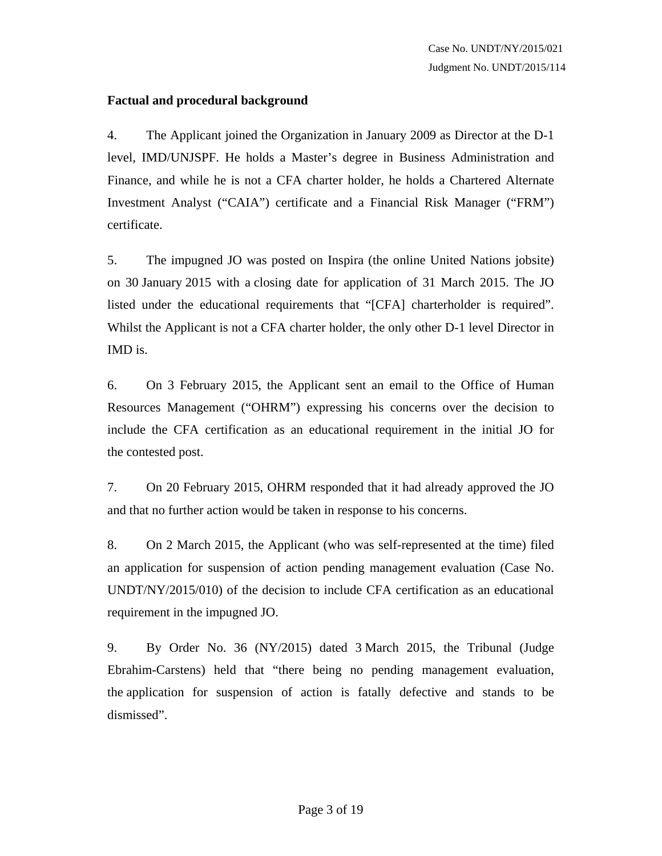# **Factual and procedural background**

4. The Applicant joined the Organization in January 2009 as Director at the D-1 level, IMD/UNJSPF. He holds a Master's degree in Business Administration and Finance, and while he is not a CFA charter holder, he holds a Chartered Alternate Investment Analyst ("CAIA") certificate and a Financial Risk Manager ("FRM") certificate.

5. The impugned JO was posted on Inspira (the online United Nations jobsite) on 30 January 2015 with a closing date for application of 31 March 2015. The JO listed under the educational requirements that "[CFA] charterholder is required". Whilst the Applicant is not a CFA charter holder, the only other D-1 level Director in IMD is.

6. On 3 February 2015, the Applicant sent an email to the Office of Human Resources Management ("OHRM") expressing his concerns over the decision to include the CFA certification as an educational requirement in the initial JO for the contested post.

7. On 20 February 2015, OHRM responded that it had already approved the JO and that no further action would be taken in response to his concerns.

8. On 2 March 2015, the Applicant (who was self-represented at the time) filed an application for suspension of action pending management evaluation (Case No. UNDT/NY/2015/010) of the decision to include CFA certification as an educational requirement in the impugned JO.

9. By Order No. 36 (NY/2015) dated 3 March 2015, the Tribunal (Judge Ebrahim-Carstens) held that "there being no pending management evaluation, the application for suspension of action is fatally defective and stands to be dismissed".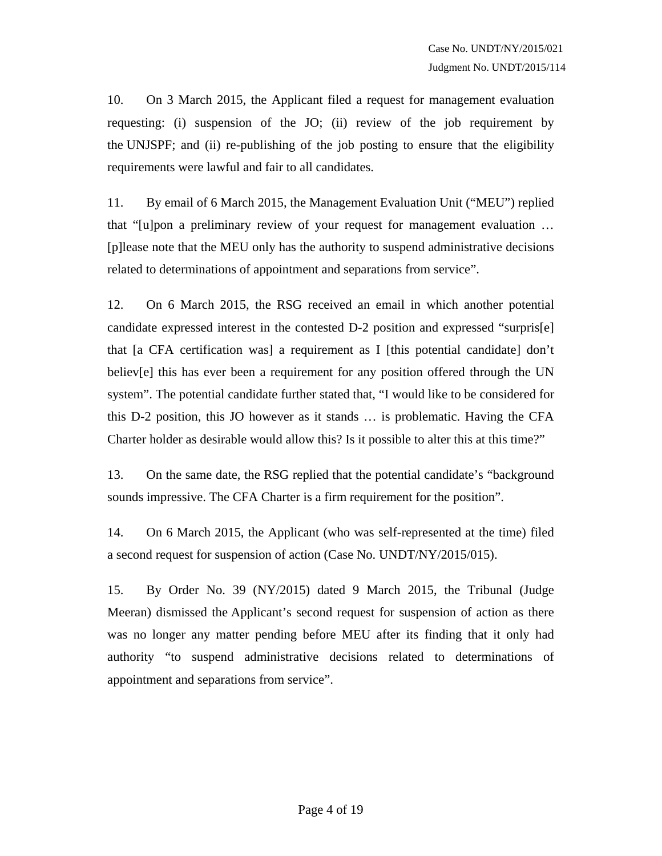10. On 3 March 2015, the Applicant filed a request for management evaluation requesting: (i) suspension of the JO; (ii) review of the job requirement by the UNJSPF; and (ii) re-publishing of the job posting to ensure that the eligibility requirements were lawful and fair to all candidates.

11. By email of 6 March 2015, the Management Evaluation Unit ("MEU") replied that "[u]pon a preliminary review of your request for management evaluation … [p]lease note that the MEU only has the authority to suspend administrative decisions related to determinations of appointment and separations from service".

12. On 6 March 2015, the RSG received an email in which another potential candidate expressed interest in the contested D-2 position and expressed "surpris[e] that [a CFA certification was] a requirement as I [this potential candidate] don't believ[e] this has ever been a requirement for any position offered through the UN system". The potential candidate further stated that, "I would like to be considered for this D-2 position, this JO however as it stands … is problematic. Having the CFA Charter holder as desirable would allow this? Is it possible to alter this at this time?"

13. On the same date, the RSG replied that the potential candidate's "background sounds impressive. The CFA Charter is a firm requirement for the position".

14. On 6 March 2015, the Applicant (who was self-represented at the time) filed a second request for suspension of action (Case No. UNDT/NY/2015/015).

15. By Order No. 39 (NY/2015) dated 9 March 2015, the Tribunal (Judge Meeran) dismissed the Applicant's second request for suspension of action as there was no longer any matter pending before MEU after its finding that it only had authority "to suspend administrative decisions related to determinations of appointment and separations from service".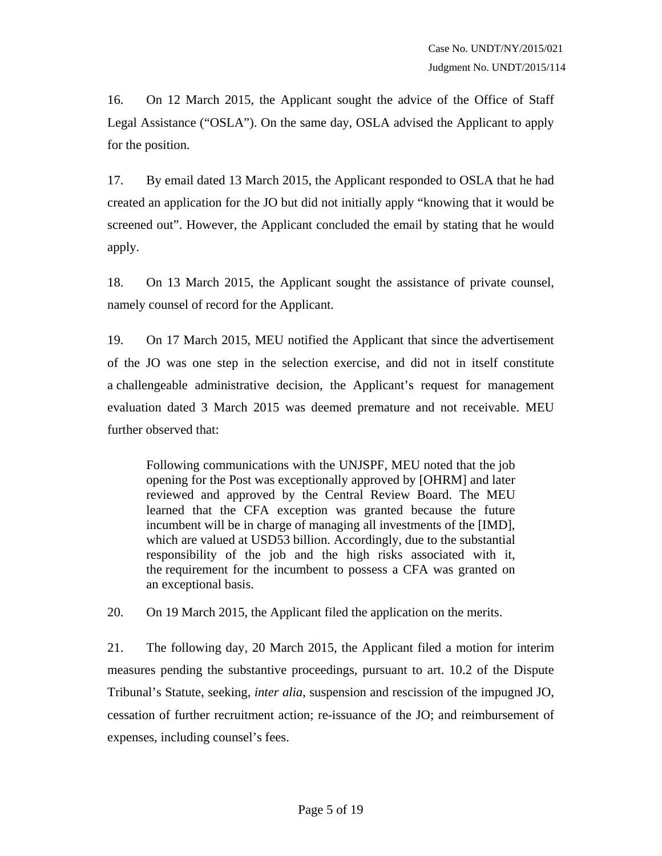16. On 12 March 2015, the Applicant sought the advice of the Office of Staff Legal Assistance ("OSLA"). On the same day, OSLA advised the Applicant to apply for the position.

17. By email dated 13 March 2015, the Applicant responded to OSLA that he had created an application for the JO but did not initially apply "knowing that it would be screened out". However, the Applicant concluded the email by stating that he would apply.

18. On 13 March 2015, the Applicant sought the assistance of private counsel, namely counsel of record for the Applicant.

19. On 17 March 2015, MEU notified the Applicant that since the advertisement of the JO was one step in the selection exercise, and did not in itself constitute a challengeable administrative decision, the Applicant's request for management evaluation dated 3 March 2015 was deemed premature and not receivable. MEU further observed that:

Following communications with the UNJSPF, MEU noted that the job opening for the Post was exceptionally approved by [OHRM] and later reviewed and approved by the Central Review Board. The MEU learned that the CFA exception was granted because the future incumbent will be in charge of managing all investments of the [IMD], which are valued at USD53 billion. Accordingly, due to the substantial responsibility of the job and the high risks associated with it, the requirement for the incumbent to possess a CFA was granted on an exceptional basis.

20. On 19 March 2015, the Applicant filed the application on the merits.

21. The following day, 20 March 2015, the Applicant filed a motion for interim measures pending the substantive proceedings, pursuant to art. 10.2 of the Dispute Tribunal's Statute, seeking, *inter alia*, suspension and rescission of the impugned JO, cessation of further recruitment action; re-issuance of the JO; and reimbursement of expenses, including counsel's fees.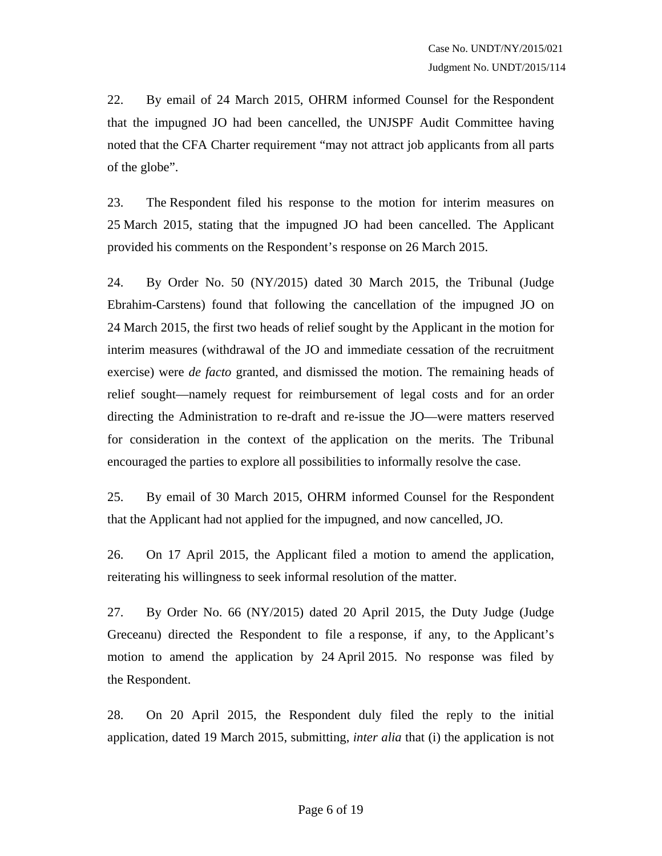22. By email of 24 March 2015, OHRM informed Counsel for the Respondent that the impugned JO had been cancelled, the UNJSPF Audit Committee having noted that the CFA Charter requirement "may not attract job applicants from all parts of the globe".

23. The Respondent filed his response to the motion for interim measures on 25 March 2015, stating that the impugned JO had been cancelled. The Applicant provided his comments on the Respondent's response on 26 March 2015.

24. By Order No. 50 (NY/2015) dated 30 March 2015, the Tribunal (Judge Ebrahim-Carstens) found that following the cancellation of the impugned JO on 24 March 2015, the first two heads of relief sought by the Applicant in the motion for interim measures (withdrawal of the JO and immediate cessation of the recruitment exercise) were *de facto* granted, and dismissed the motion. The remaining heads of relief sought—namely request for reimbursement of legal costs and for an order directing the Administration to re-draft and re-issue the JO—were matters reserved for consideration in the context of the application on the merits. The Tribunal encouraged the parties to explore all possibilities to informally resolve the case.

25. By email of 30 March 2015, OHRM informed Counsel for the Respondent that the Applicant had not applied for the impugned, and now cancelled, JO.

26. On 17 April 2015, the Applicant filed a motion to amend the application, reiterating his willingness to seek informal resolution of the matter.

27. By Order No. 66 (NY/2015) dated 20 April 2015, the Duty Judge (Judge Greceanu) directed the Respondent to file a response, if any, to the Applicant's motion to amend the application by 24 April 2015. No response was filed by the Respondent.

28. On 20 April 2015, the Respondent duly filed the reply to the initial application, dated 19 March 2015, submitting, *inter alia* that (i) the application is not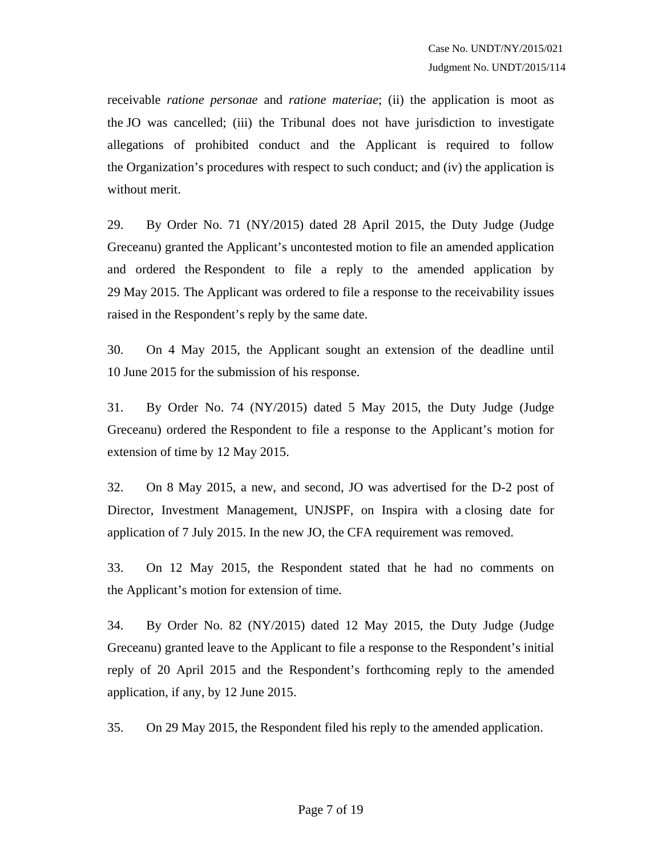receivable *ratione personae* and *ratione materiae*; (ii) the application is moot as the JO was cancelled; (iii) the Tribunal does not have jurisdiction to investigate allegations of prohibited conduct and the Applicant is required to follow the Organization's procedures with respect to such conduct; and (iv) the application is without merit.

29. By Order No. 71 (NY/2015) dated 28 April 2015, the Duty Judge (Judge Greceanu) granted the Applicant's uncontested motion to file an amended application and ordered the Respondent to file a reply to the amended application by 29 May 2015. The Applicant was ordered to file a response to the receivability issues raised in the Respondent's reply by the same date.

30. On 4 May 2015, the Applicant sought an extension of the deadline until 10 June 2015 for the submission of his response.

31. By Order No. 74 (NY/2015) dated 5 May 2015, the Duty Judge (Judge Greceanu) ordered the Respondent to file a response to the Applicant's motion for extension of time by 12 May 2015.

32. On 8 May 2015, a new, and second, JO was advertised for the D-2 post of Director, Investment Management, UNJSPF, on Inspira with a closing date for application of 7 July 2015. In the new JO, the CFA requirement was removed.

33. On 12 May 2015, the Respondent stated that he had no comments on the Applicant's motion for extension of time.

34. By Order No. 82 (NY/2015) dated 12 May 2015, the Duty Judge (Judge Greceanu) granted leave to the Applicant to file a response to the Respondent's initial reply of 20 April 2015 and the Respondent's forthcoming reply to the amended application, if any, by 12 June 2015.

35. On 29 May 2015, the Respondent filed his reply to the amended application.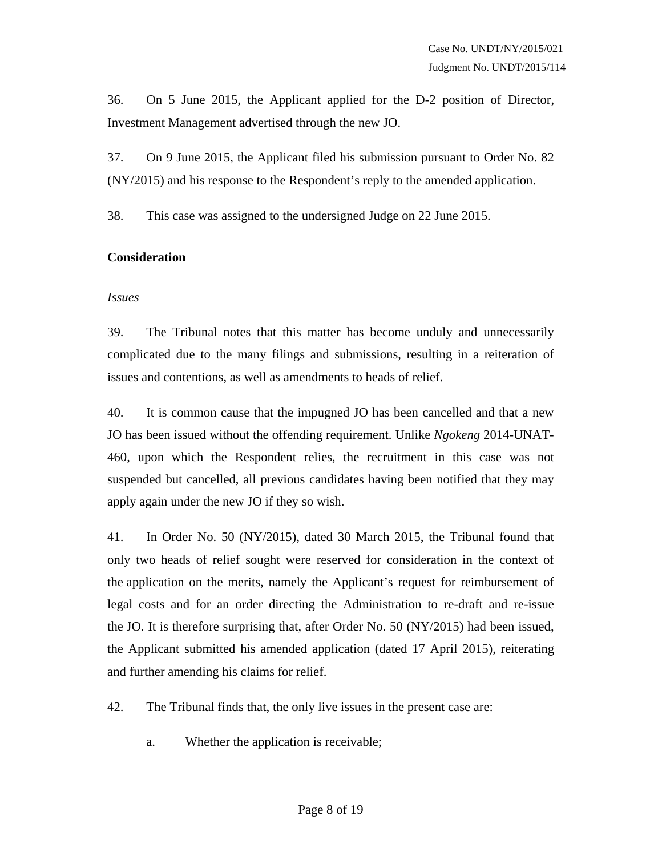36. On 5 June 2015, the Applicant applied for the D-2 position of Director, Investment Management advertised through the new JO.

37. On 9 June 2015, the Applicant filed his submission pursuant to Order No. 82 (NY/2015) and his response to the Respondent's reply to the amended application.

38. This case was assigned to the undersigned Judge on 22 June 2015.

## **Consideration**

#### *Issues*

39. The Tribunal notes that this matter has become unduly and unnecessarily complicated due to the many filings and submissions, resulting in a reiteration of issues and contentions, as well as amendments to heads of relief.

40. It is common cause that the impugned JO has been cancelled and that a new JO has been issued without the offending requirement. Unlike *Ngokeng* 2014-UNAT-460, upon which the Respondent relies, the recruitment in this case was not suspended but cancelled, all previous candidates having been notified that they may apply again under the new JO if they so wish.

41. In Order No. 50 (NY/2015), dated 30 March 2015, the Tribunal found that only two heads of relief sought were reserved for consideration in the context of the application on the merits, namely the Applicant's request for reimbursement of legal costs and for an order directing the Administration to re-draft and re-issue the JO. It is therefore surprising that, after Order No. 50 (NY/2015) had been issued, the Applicant submitted his amended application (dated 17 April 2015), reiterating and further amending his claims for relief.

42. The Tribunal finds that, the only live issues in the present case are:

a. Whether the application is receivable;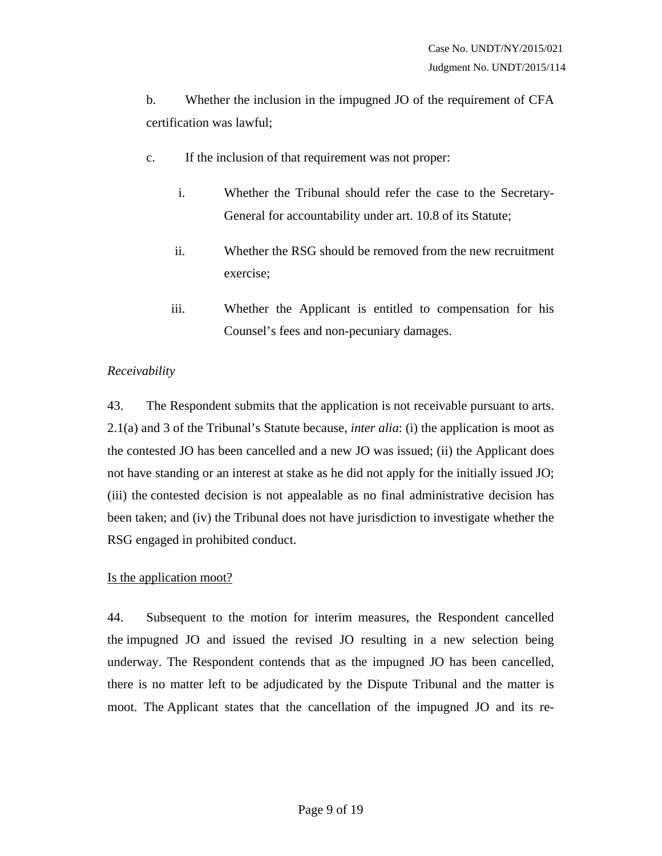b. Whether the inclusion in the impugned JO of the requirement of CFA certification was lawful;

- c. If the inclusion of that requirement was not proper:
	- i. Whether the Tribunal should refer the case to the Secretary-General for accountability under art. 10.8 of its Statute;
	- ii. Whether the RSG should be removed from the new recruitment exercise;
	- iii. Whether the Applicant is entitled to compensation for his Counsel's fees and non-pecuniary damages.

## *Receivability*

43. The Respondent submits that the application is not receivable pursuant to arts. 2.1(a) and 3 of the Tribunal's Statute because, *inter alia*: (i) the application is moot as the contested JO has been cancelled and a new JO was issued; (ii) the Applicant does not have standing or an interest at stake as he did not apply for the initially issued JO; (iii) the contested decision is not appealable as no final administrative decision has been taken; and (iv) the Tribunal does not have jurisdiction to investigate whether the RSG engaged in prohibited conduct.

#### Is the application moot?

44. Subsequent to the motion for interim measures, the Respondent cancelled the impugned JO and issued the revised JO resulting in a new selection being underway. The Respondent contends that as the impugned JO has been cancelled, there is no matter left to be adjudicated by the Dispute Tribunal and the matter is moot. The Applicant states that the cancellation of the impugned JO and its re-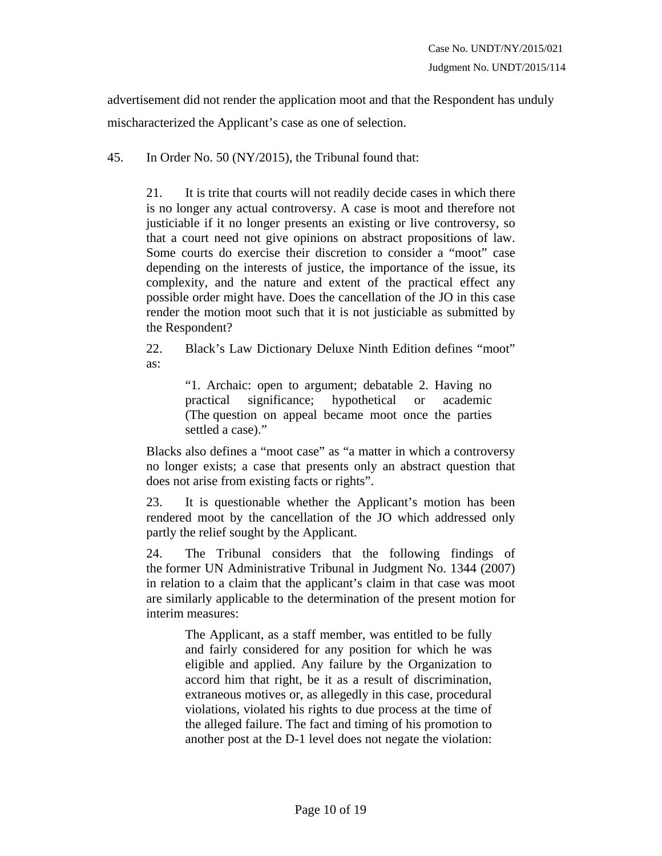advertisement did not render the application moot and that the Respondent has unduly mischaracterized the Applicant's case as one of selection.

45. In Order No. 50 (NY/2015), the Tribunal found that:

21. It is trite that courts will not readily decide cases in which there is no longer any actual controversy. A case is moot and therefore not justiciable if it no longer presents an existing or live controversy, so that a court need not give opinions on abstract propositions of law. Some courts do exercise their discretion to consider a "moot" case depending on the interests of justice, the importance of the issue, its complexity, and the nature and extent of the practical effect any possible order might have. Does the cancellation of the JO in this case render the motion moot such that it is not justiciable as submitted by the Respondent?

22. Black's Law Dictionary Deluxe Ninth Edition defines "moot" as:

> "1. Archaic: open to argument; debatable 2. Having no practical significance; hypothetical or academic (The question on appeal became moot once the parties settled a case)."

Blacks also defines a "moot case" as "a matter in which a controversy no longer exists; a case that presents only an abstract question that does not arise from existing facts or rights".

23. It is questionable whether the Applicant's motion has been rendered moot by the cancellation of the JO which addressed only partly the relief sought by the Applicant.

24. The Tribunal considers that the following findings of the former UN Administrative Tribunal in Judgment No. 1344 (2007) in relation to a claim that the applicant's claim in that case was moot are similarly applicable to the determination of the present motion for interim measures:

> The Applicant, as a staff member, was entitled to be fully and fairly considered for any position for which he was eligible and applied. Any failure by the Organization to accord him that right, be it as a result of discrimination, extraneous motives or, as allegedly in this case, procedural violations, violated his rights to due process at the time of the alleged failure. The fact and timing of his promotion to another post at the D-1 level does not negate the violation: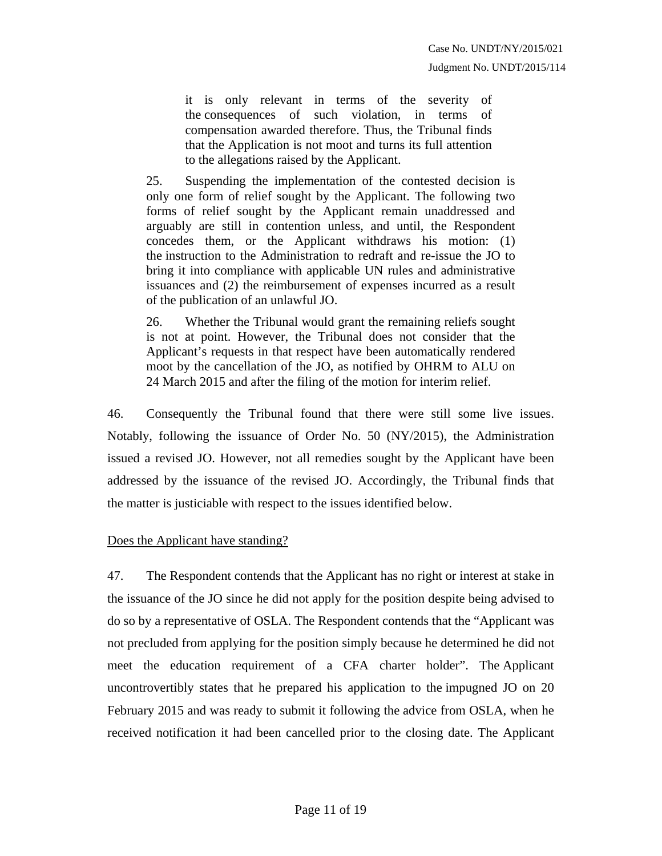it is only relevant in terms of the severity of the consequences of such violation, in terms of compensation awarded therefore. Thus, the Tribunal finds that the Application is not moot and turns its full attention to the allegations raised by the Applicant.

25. Suspending the implementation of the contested decision is only one form of relief sought by the Applicant. The following two forms of relief sought by the Applicant remain unaddressed and arguably are still in contention unless, and until, the Respondent concedes them, or the Applicant withdraws his motion: (1) the instruction to the Administration to redraft and re-issue the JO to bring it into compliance with applicable UN rules and administrative issuances and (2) the reimbursement of expenses incurred as a result of the publication of an unlawful JO.

26. Whether the Tribunal would grant the remaining reliefs sought is not at point. However, the Tribunal does not consider that the Applicant's requests in that respect have been automatically rendered moot by the cancellation of the JO, as notified by OHRM to ALU on 24 March 2015 and after the filing of the motion for interim relief.

46. Consequently the Tribunal found that there were still some live issues. Notably, following the issuance of Order No. 50 (NY/2015), the Administration issued a revised JO. However, not all remedies sought by the Applicant have been addressed by the issuance of the revised JO. Accordingly, the Tribunal finds that the matter is justiciable with respect to the issues identified below.

#### Does the Applicant have standing?

47. The Respondent contends that the Applicant has no right or interest at stake in the issuance of the JO since he did not apply for the position despite being advised to do so by a representative of OSLA. The Respondent contends that the "Applicant was not precluded from applying for the position simply because he determined he did not meet the education requirement of a CFA charter holder". The Applicant uncontrovertibly states that he prepared his application to the impugned JO on 20 February 2015 and was ready to submit it following the advice from OSLA, when he received notification it had been cancelled prior to the closing date. The Applicant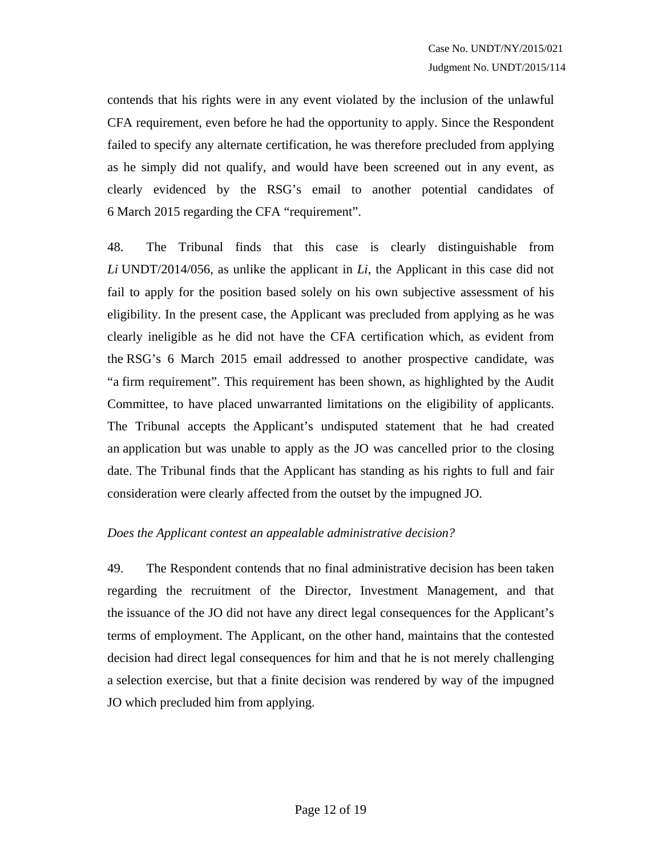contends that his rights were in any event violated by the inclusion of the unlawful CFA requirement, even before he had the opportunity to apply. Since the Respondent failed to specify any alternate certification, he was therefore precluded from applying as he simply did not qualify, and would have been screened out in any event, as clearly evidenced by the RSG's email to another potential candidates of 6 March 2015 regarding the CFA "requirement".

48. The Tribunal finds that this case is clearly distinguishable from *Li* UNDT/2014/056, as unlike the applicant in *Li*, the Applicant in this case did not fail to apply for the position based solely on his own subjective assessment of his eligibility. In the present case, the Applicant was precluded from applying as he was clearly ineligible as he did not have the CFA certification which, as evident from the RSG's 6 March 2015 email addressed to another prospective candidate, was "a firm requirement". This requirement has been shown, as highlighted by the Audit Committee, to have placed unwarranted limitations on the eligibility of applicants. The Tribunal accepts the Applicant's undisputed statement that he had created an application but was unable to apply as the JO was cancelled prior to the closing date. The Tribunal finds that the Applicant has standing as his rights to full and fair consideration were clearly affected from the outset by the impugned JO.

# *Does the Applicant contest an appealable administrative decision?*

49. The Respondent contends that no final administrative decision has been taken regarding the recruitment of the Director, Investment Management, and that the issuance of the JO did not have any direct legal consequences for the Applicant's terms of employment. The Applicant, on the other hand, maintains that the contested decision had direct legal consequences for him and that he is not merely challenging a selection exercise, but that a finite decision was rendered by way of the impugned JO which precluded him from applying.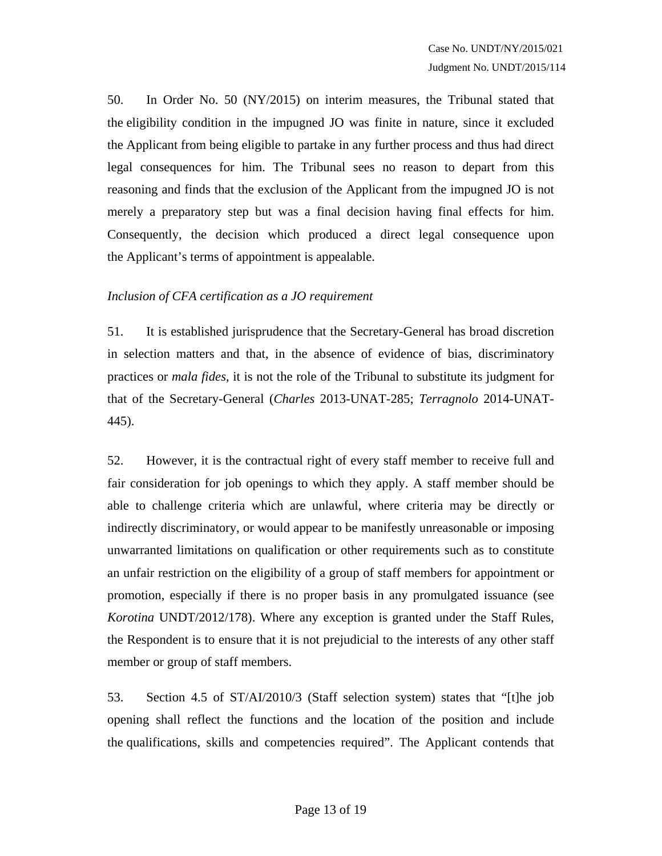50. In Order No. 50 (NY/2015) on interim measures, the Tribunal stated that the eligibility condition in the impugned JO was finite in nature, since it excluded the Applicant from being eligible to partake in any further process and thus had direct legal consequences for him. The Tribunal sees no reason to depart from this reasoning and finds that the exclusion of the Applicant from the impugned JO is not merely a preparatory step but was a final decision having final effects for him. Consequently, the decision which produced a direct legal consequence upon the Applicant's terms of appointment is appealable.

## *Inclusion of CFA certification as a JO requirement*

51. It is established jurisprudence that the Secretary-General has broad discretion in selection matters and that, in the absence of evidence of bias, discriminatory practices or *mala fides*, it is not the role of the Tribunal to substitute its judgment for that of the Secretary-General (*Charles* 2013-UNAT-285; *Terragnolo* 2014-UNAT-445).

52. However, it is the contractual right of every staff member to receive full and fair consideration for job openings to which they apply. A staff member should be able to challenge criteria which are unlawful, where criteria may be directly or indirectly discriminatory, or would appear to be manifestly unreasonable or imposing unwarranted limitations on qualification or other requirements such as to constitute an unfair restriction on the eligibility of a group of staff members for appointment or promotion, especially if there is no proper basis in any promulgated issuance (see *Korotina* UNDT/2012/178). Where any exception is granted under the Staff Rules, the Respondent is to ensure that it is not prejudicial to the interests of any other staff member or group of staff members.

53. Section 4.5 of ST/AI/2010/3 (Staff selection system) states that "[t]he job opening shall reflect the functions and the location of the position and include the qualifications, skills and competencies required". The Applicant contends that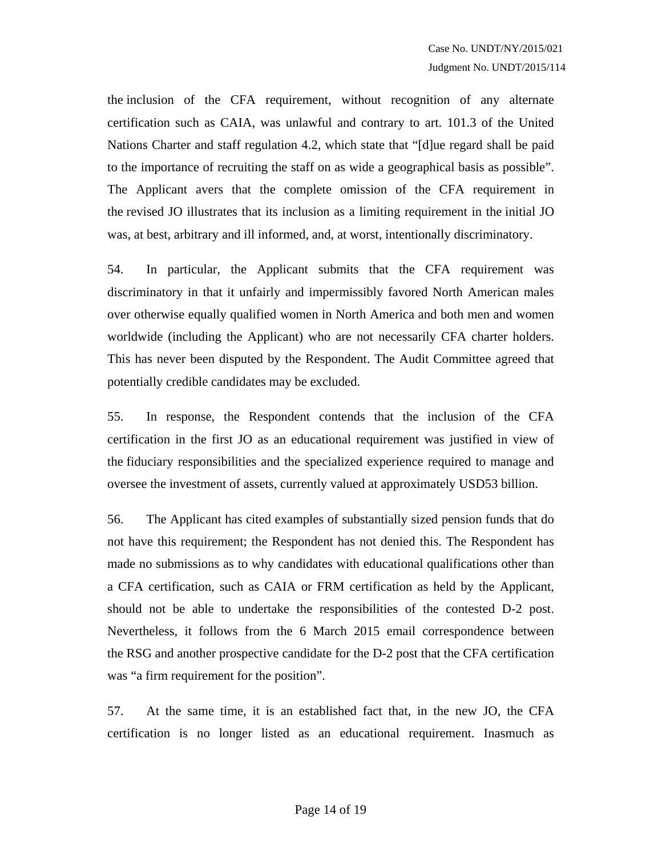the inclusion of the CFA requirement, without recognition of any alternate certification such as CAIA, was unlawful and contrary to art. 101.3 of the United Nations Charter and staff regulation 4.2, which state that "[d]ue regard shall be paid to the importance of recruiting the staff on as wide a geographical basis as possible". The Applicant avers that the complete omission of the CFA requirement in the revised JO illustrates that its inclusion as a limiting requirement in the initial JO was, at best, arbitrary and ill informed, and, at worst, intentionally discriminatory.

54. In particular, the Applicant submits that the CFA requirement was discriminatory in that it unfairly and impermissibly favored North American males over otherwise equally qualified women in North America and both men and women worldwide (including the Applicant) who are not necessarily CFA charter holders. This has never been disputed by the Respondent. The Audit Committee agreed that potentially credible candidates may be excluded.

55. In response, the Respondent contends that the inclusion of the CFA certification in the first JO as an educational requirement was justified in view of the fiduciary responsibilities and the specialized experience required to manage and oversee the investment of assets, currently valued at approximately USD53 billion.

56. The Applicant has cited examples of substantially sized pension funds that do not have this requirement; the Respondent has not denied this. The Respondent has made no submissions as to why candidates with educational qualifications other than a CFA certification, such as CAIA or FRM certification as held by the Applicant, should not be able to undertake the responsibilities of the contested D-2 post. Nevertheless, it follows from the 6 March 2015 email correspondence between the RSG and another prospective candidate for the D-2 post that the CFA certification was "a firm requirement for the position".

57. At the same time, it is an established fact that, in the new JO, the CFA certification is no longer listed as an educational requirement. Inasmuch as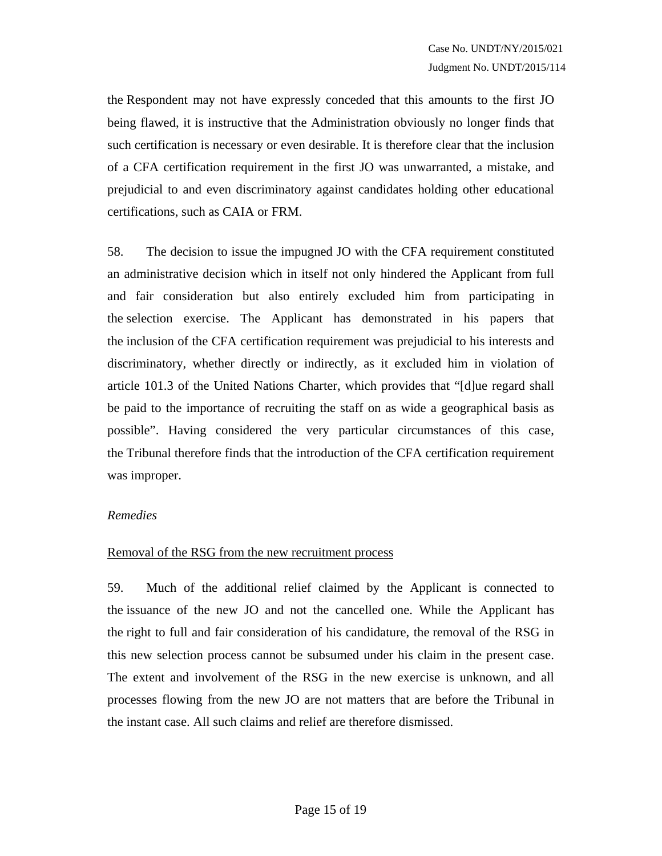the Respondent may not have expressly conceded that this amounts to the first JO being flawed, it is instructive that the Administration obviously no longer finds that such certification is necessary or even desirable. It is therefore clear that the inclusion of a CFA certification requirement in the first JO was unwarranted, a mistake, and prejudicial to and even discriminatory against candidates holding other educational certifications, such as CAIA or FRM.

58. The decision to issue the impugned JO with the CFA requirement constituted an administrative decision which in itself not only hindered the Applicant from full and fair consideration but also entirely excluded him from participating in the selection exercise. The Applicant has demonstrated in his papers that the inclusion of the CFA certification requirement was prejudicial to his interests and discriminatory, whether directly or indirectly, as it excluded him in violation of article 101.3 of the United Nations Charter, which provides that "[d]ue regard shall be paid to the importance of recruiting the staff on as wide a geographical basis as possible". Having considered the very particular circumstances of this case, the Tribunal therefore finds that the introduction of the CFA certification requirement was improper.

#### *Remedies*

#### Removal of the RSG from the new recruitment process

59. Much of the additional relief claimed by the Applicant is connected to the issuance of the new JO and not the cancelled one. While the Applicant has the right to full and fair consideration of his candidature, the removal of the RSG in this new selection process cannot be subsumed under his claim in the present case. The extent and involvement of the RSG in the new exercise is unknown, and all processes flowing from the new JO are not matters that are before the Tribunal in the instant case. All such claims and relief are therefore dismissed.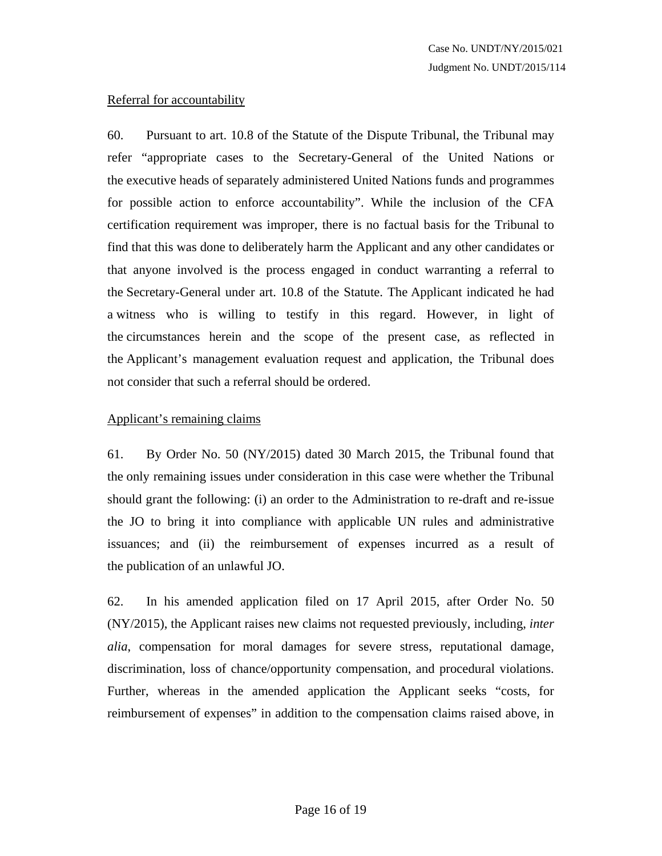# Referral for accountability

60. Pursuant to art. 10.8 of the Statute of the Dispute Tribunal, the Tribunal may refer "appropriate cases to the Secretary-General of the United Nations or the executive heads of separately administered United Nations funds and programmes for possible action to enforce accountability". While the inclusion of the CFA certification requirement was improper, there is no factual basis for the Tribunal to find that this was done to deliberately harm the Applicant and any other candidates or that anyone involved is the process engaged in conduct warranting a referral to the Secretary-General under art. 10.8 of the Statute. The Applicant indicated he had a witness who is willing to testify in this regard. However, in light of the circumstances herein and the scope of the present case, as reflected in the Applicant's management evaluation request and application, the Tribunal does not consider that such a referral should be ordered.

## Applicant's remaining claims

61. By Order No. 50 (NY/2015) dated 30 March 2015, the Tribunal found that the only remaining issues under consideration in this case were whether the Tribunal should grant the following: (i) an order to the Administration to re-draft and re-issue the JO to bring it into compliance with applicable UN rules and administrative issuances; and (ii) the reimbursement of expenses incurred as a result of the publication of an unlawful JO.

62. In his amended application filed on 17 April 2015, after Order No. 50 (NY/2015), the Applicant raises new claims not requested previously, including, *inter alia*, compensation for moral damages for severe stress, reputational damage, discrimination, loss of chance/opportunity compensation, and procedural violations. Further, whereas in the amended application the Applicant seeks "costs, for reimbursement of expenses" in addition to the compensation claims raised above, in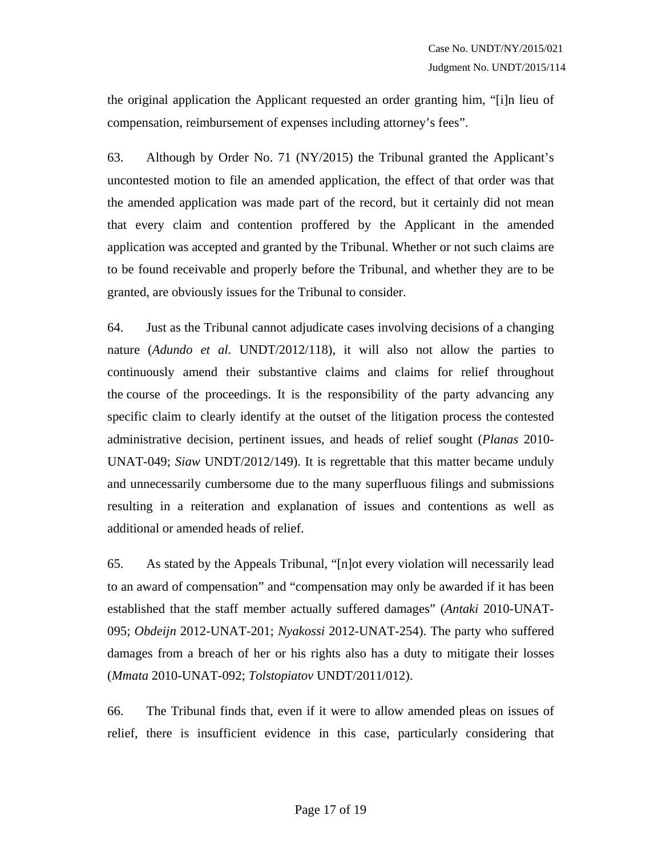the original application the Applicant requested an order granting him, "[i]n lieu of compensation, reimbursement of expenses including attorney's fees".

63. Although by Order No. 71 (NY/2015) the Tribunal granted the Applicant's uncontested motion to file an amended application, the effect of that order was that the amended application was made part of the record, but it certainly did not mean that every claim and contention proffered by the Applicant in the amended application was accepted and granted by the Tribunal. Whether or not such claims are to be found receivable and properly before the Tribunal, and whether they are to be granted, are obviously issues for the Tribunal to consider.

64. Just as the Tribunal cannot adjudicate cases involving decisions of a changing nature (*Adundo et al.* UNDT/2012/118), it will also not allow the parties to continuously amend their substantive claims and claims for relief throughout the course of the proceedings. It is the responsibility of the party advancing any specific claim to clearly identify at the outset of the litigation process the contested administrative decision, pertinent issues, and heads of relief sought (*Planas* 2010- UNAT-049; *Siaw* UNDT/2012/149). It is regrettable that this matter became unduly and unnecessarily cumbersome due to the many superfluous filings and submissions resulting in a reiteration and explanation of issues and contentions as well as additional or amended heads of relief.

65. As stated by the Appeals Tribunal, "[n]ot every violation will necessarily lead to an award of compensation" and "compensation may only be awarded if it has been established that the staff member actually suffered damages" (*Antaki* 2010-UNAT-095; *Obdeijn* 2012-UNAT-201; *Nyakossi* 2012-UNAT-254). The party who suffered damages from a breach of her or his rights also has a duty to mitigate their losses (*Mmata* 2010-UNAT-092; *Tolstopiatov* UNDT/2011/012).

66. The Tribunal finds that, even if it were to allow amended pleas on issues of relief, there is insufficient evidence in this case, particularly considering that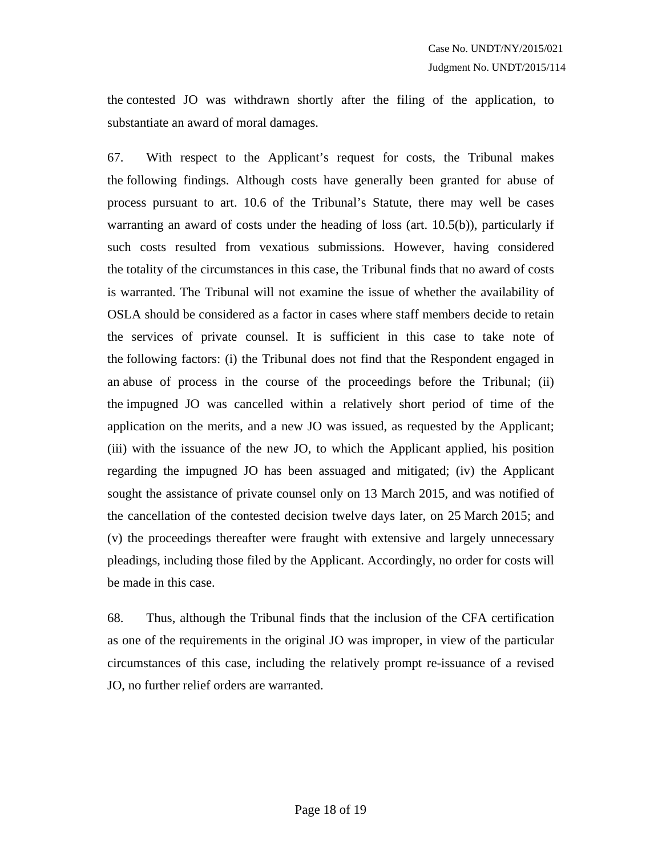the contested JO was withdrawn shortly after the filing of the application, to substantiate an award of moral damages.

67. With respect to the Applicant's request for costs, the Tribunal makes the following findings. Although costs have generally been granted for abuse of process pursuant to art. 10.6 of the Tribunal's Statute, there may well be cases warranting an award of costs under the heading of loss (art. 10.5(b)), particularly if such costs resulted from vexatious submissions. However, having considered the totality of the circumstances in this case, the Tribunal finds that no award of costs is warranted. The Tribunal will not examine the issue of whether the availability of OSLA should be considered as a factor in cases where staff members decide to retain the services of private counsel. It is sufficient in this case to take note of the following factors: (i) the Tribunal does not find that the Respondent engaged in an abuse of process in the course of the proceedings before the Tribunal; (ii) the impugned JO was cancelled within a relatively short period of time of the application on the merits, and a new JO was issued, as requested by the Applicant; (iii) with the issuance of the new JO, to which the Applicant applied, his position regarding the impugned JO has been assuaged and mitigated; (iv) the Applicant sought the assistance of private counsel only on 13 March 2015, and was notified of the cancellation of the contested decision twelve days later, on 25 March 2015; and (v) the proceedings thereafter were fraught with extensive and largely unnecessary pleadings, including those filed by the Applicant. Accordingly, no order for costs will be made in this case.

68. Thus, although the Tribunal finds that the inclusion of the CFA certification as one of the requirements in the original JO was improper, in view of the particular circumstances of this case, including the relatively prompt re-issuance of a revised JO, no further relief orders are warranted.